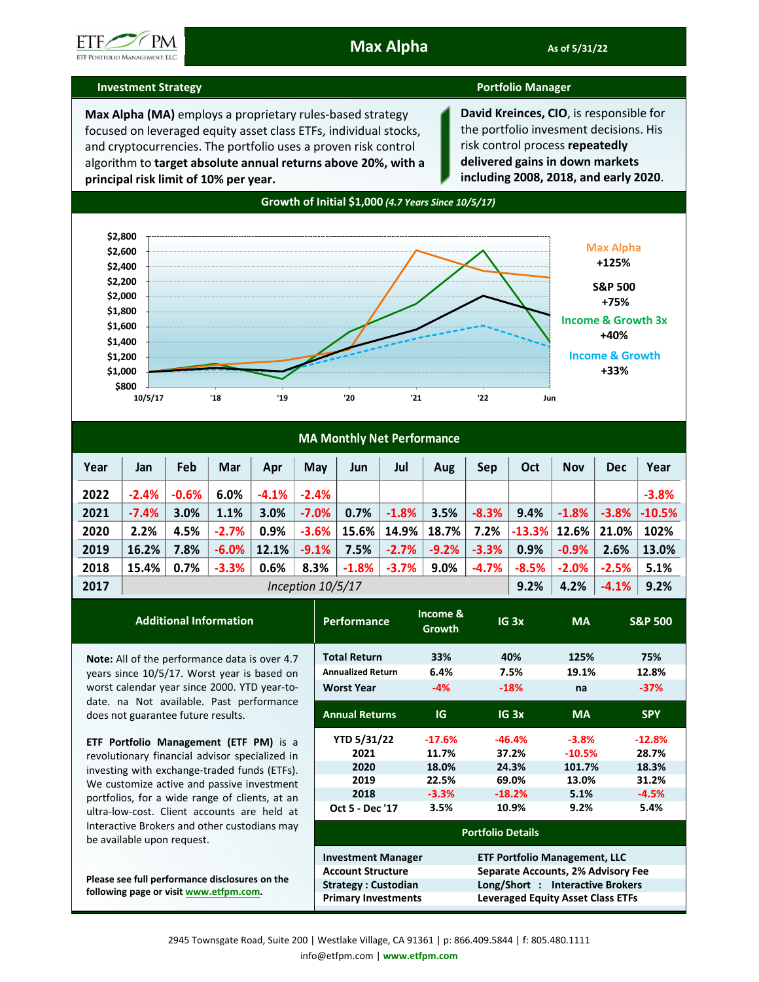

## **Investment Strategy Portfolio Manager**

**Max Alpha (MA)** employs a proprietary rules-based strategy focused on leveraged equity asset class ETFs, individual stocks, and cryptocurrencies. The portfolio uses a proven risk control algorithm to **target absolute annual returns above 20%, with a principal risk limit of 10% per year.** 

**David Kreinces, CIO**, is responsible for the portfolio invesment decisions. His risk control process **repeatedly delivered gains in down markets including 2008, 2018, and early 2020**.



| <b>MA Monthly Net Performance</b> |                   |         |          |          |          |         |          |         |          |          |            |            |          |
|-----------------------------------|-------------------|---------|----------|----------|----------|---------|----------|---------|----------|----------|------------|------------|----------|
| Year                              | Jan               | Feb     | Mar      | Apr      | May      | Jun     | Jul      | Aug     | Sep      | Oct      | <b>Nov</b> | <b>Dec</b> | Year     |
| 2022                              | $-2.4%$           | $-0.6%$ | 6.0%     | $-4.1\%$ | $-2.4%$  |         |          |         |          |          |            |            | $-3.8%$  |
| 2021                              | $-7.4%$           | 3.0%    | 1.1%     | 3.0%     | $-7.0\%$ | 0.7%    | $-1.8%$  | 3.5%    | $-8.3%$  | 9.4%     | $-1.8%$    | $-3.8\%$   | $-10.5%$ |
| 2020                              | 2.2%              | 4.5%    | $-2.7%$  | 0.9%     | $-3.6%$  | 15.6%   | 14.9%    | 18.7%   | 7.2%     | $-13.3%$ | 12.6%      | 21.0%      | 102%     |
| 2019                              | 16.2%             | 7.8%    | $-6.0\%$ | 12.1%    | $-9.1%$  | 7.5%    | $-2.7%$  | $-9.2%$ | $-3.3%$  | 0.9%     | $-0.9\%$   | 2.6%       | 13.0%    |
| 2018                              | 15.4%             | 0.7%    | $-3.3%$  | 0.6%     | 8.3%     | $-1.8%$ | $-3.7\%$ | 9.0%    | $-4.7\%$ | $-8.5%$  | $-2.0%$    | $-2.5%$    | 5.1%     |
| 2017                              | Inception 10/5/17 |         |          |          |          |         |          | 9.2%    | 4.2%     | $-4.1%$  | 9.2%       |            |          |

**Income &** 

| <b>Additional Information</b>                                                  | <b>Performance</b>         | income &<br><b>Growth</b> | IG <sub>3x</sub>                         | <b>MA</b>                            | <b>S&amp;P 500</b> |  |  |  |
|--------------------------------------------------------------------------------|----------------------------|---------------------------|------------------------------------------|--------------------------------------|--------------------|--|--|--|
| Note: All of the performance data is over 4.7                                  | <b>Total Return</b>        | 33%                       | 40%                                      | 125%                                 | 75%                |  |  |  |
| years since 10/5/17. Worst year is based on                                    | <b>Annualized Return</b>   | 6.4%                      | 7.5%                                     | 19.1%                                | 12.8%              |  |  |  |
| worst calendar year since 2000. YTD year-to-                                   | <b>Worst Year</b>          | $-4%$                     | $-18%$                                   | na                                   | $-37%$             |  |  |  |
| date. na Not available. Past performance<br>does not guarantee future results. | <b>Annual Returns</b>      | <b>IG</b>                 | IG <sub>3x</sub>                         | <b>MA</b>                            | <b>SPY</b>         |  |  |  |
| <b>ETF Portfolio Management (ETF PM)</b> is a                                  | <b>YTD 5/31/22</b>         | $-17.6%$                  | $-46.4%$                                 | $-3.8%$                              | $-12.8%$           |  |  |  |
| revolutionary financial advisor specialized in                                 | 2021                       | 11.7%                     | 37.2%                                    | $-10.5%$                             | 28.7%              |  |  |  |
| investing with exchange-traded funds (ETFs).                                   | 2020                       | 18.0%                     | 24.3%                                    | 101.7%                               | 18.3%              |  |  |  |
| We customize active and passive investment                                     | 2019                       | 22.5%                     | 69.0%                                    | 13.0%                                | 31.2%              |  |  |  |
| portfolios, for a wide range of clients, at an                                 | 2018                       | $-3.3%$                   | $-18.2%$                                 | 5.1%                                 | $-4.5%$            |  |  |  |
| ultra-low-cost. Client accounts are held at                                    | Oct 5 - Dec '17            | 3.5%                      | 10.9%                                    | 9.2%                                 | 5.4%               |  |  |  |
| Interactive Brokers and other custodians may<br>be available upon request.     | <b>Portfolio Details</b>   |                           |                                          |                                      |                    |  |  |  |
|                                                                                | <b>Investment Manager</b>  |                           |                                          | <b>ETF Portfolio Management, LLC</b> |                    |  |  |  |
|                                                                                | <b>Account Structure</b>   |                           | Separate Accounts, 2% Advisory Fee       |                                      |                    |  |  |  |
| Please see full performance disclosures on the                                 | <b>Strategy: Custodian</b> |                           | Long/Short : Interactive Brokers         |                                      |                    |  |  |  |
| following page or visit www.etfpm.com.                                         | <b>Primary Investments</b> |                           | <b>Leveraged Equity Asset Class ETFs</b> |                                      |                    |  |  |  |